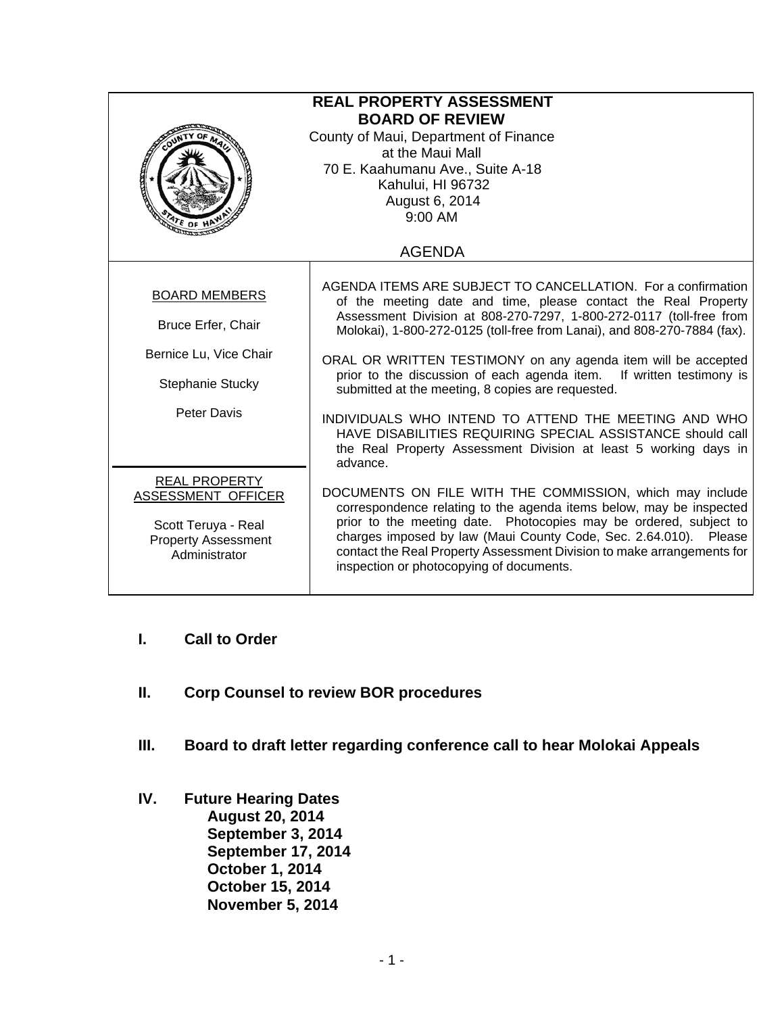| <b>REAL PROPERTY ASSESSMENT</b><br><b>BOARD OF REVIEW</b><br>County of Maui, Department of Finance<br>at the Maui Mall<br>70 E. Kaahumanu Ave., Suite A-18<br>Kahului, HI 96732<br>August 6, 2014<br>9:00 AM |                                                                                                                                                                                                                                                                                                                                                                                                |  |
|--------------------------------------------------------------------------------------------------------------------------------------------------------------------------------------------------------------|------------------------------------------------------------------------------------------------------------------------------------------------------------------------------------------------------------------------------------------------------------------------------------------------------------------------------------------------------------------------------------------------|--|
|                                                                                                                                                                                                              | <b>AGENDA</b>                                                                                                                                                                                                                                                                                                                                                                                  |  |
| <b>BOARD MEMBERS</b><br>Bruce Erfer, Chair                                                                                                                                                                   | AGENDA ITEMS ARE SUBJECT TO CANCELLATION. For a confirmation<br>of the meeting date and time, please contact the Real Property<br>Assessment Division at 808-270-7297, 1-800-272-0117 (toll-free from<br>Molokai), 1-800-272-0125 (toll-free from Lanai), and 808-270-7884 (fax).                                                                                                              |  |
| Bernice Lu, Vice Chair<br><b>Stephanie Stucky</b>                                                                                                                                                            | ORAL OR WRITTEN TESTIMONY on any agenda item will be accepted<br>prior to the discussion of each agenda item. If written testimony is<br>submitted at the meeting, 8 copies are requested.                                                                                                                                                                                                     |  |
| <b>Peter Davis</b>                                                                                                                                                                                           | INDIVIDUALS WHO INTEND TO ATTEND THE MEETING AND WHO<br>HAVE DISABILITIES REQUIRING SPECIAL ASSISTANCE should call<br>the Real Property Assessment Division at least 5 working days in<br>advance.                                                                                                                                                                                             |  |
| <b>REAL PROPERTY</b><br>ASSESSMENT OFFICER<br>Scott Teruya - Real<br><b>Property Assessment</b><br>Administrator                                                                                             | DOCUMENTS ON FILE WITH THE COMMISSION, which may include<br>correspondence relating to the agenda items below, may be inspected<br>prior to the meeting date. Photocopies may be ordered, subject to<br>charges imposed by law (Maui County Code, Sec. 2.64.010). Please<br>contact the Real Property Assessment Division to make arrangements for<br>inspection or photocopying of documents. |  |

- **I. Call to Order**
- **II. Corp Counsel to review BOR procedures**
- **III. Board to draft letter regarding conference call to hear Molokai Appeals**
- **IV. Future Hearing Dates August 20, 2014 September 3, 2014 September 17, 2014 October 1, 2014 October 15, 2014 November 5, 2014**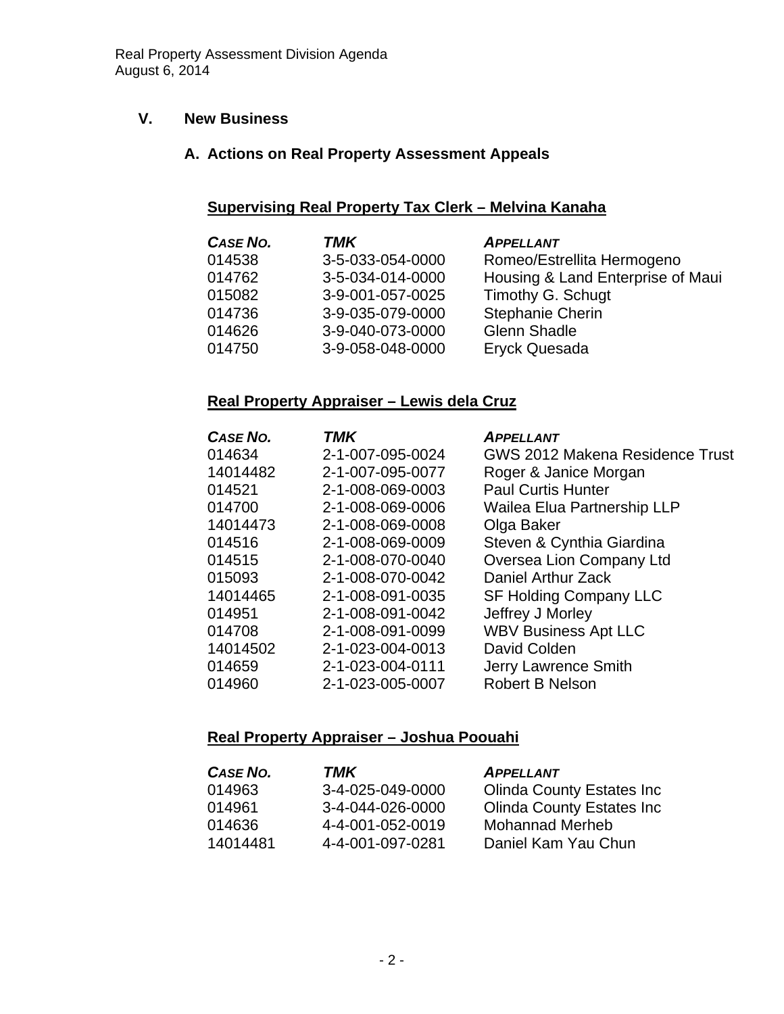## **V. New Business**

#### **A. Actions on Real Property Assessment Appeals**

## **Supervising Real Property Tax Clerk – Melvina Kanaha**

| <b>CASE NO.</b> | <b>TMK</b>       | <b>APPELLANT</b>                  |
|-----------------|------------------|-----------------------------------|
| 014538          | 3-5-033-054-0000 | Romeo/Estrellita Hermogeno        |
| 014762          | 3-5-034-014-0000 | Housing & Land Enterprise of Maui |
| 015082          | 3-9-001-057-0025 | Timothy G. Schugt                 |
| 014736          | 3-9-035-079-0000 | <b>Stephanie Cherin</b>           |
| 014626          | 3-9-040-073-0000 | <b>Glenn Shadle</b>               |
| 014750          | 3-9-058-048-0000 | <b>Eryck Quesada</b>              |

#### **Real Property Appraiser – Lewis dela Cruz**

| CASE NO. | <b>TMK</b>       | <b>APPELLANT</b>                   |
|----------|------------------|------------------------------------|
| 014634   | 2-1-007-095-0024 | GWS 2012 Makena Residence Trust    |
| 14014482 | 2-1-007-095-0077 | Roger & Janice Morgan              |
| 014521   | 2-1-008-069-0003 | <b>Paul Curtis Hunter</b>          |
| 014700   | 2-1-008-069-0006 | <b>Wailea Elua Partnership LLP</b> |
| 14014473 | 2-1-008-069-0008 | Olga Baker                         |
| 014516   | 2-1-008-069-0009 | Steven & Cynthia Giardina          |
| 014515   | 2-1-008-070-0040 | Oversea Lion Company Ltd           |
| 015093   | 2-1-008-070-0042 | Daniel Arthur Zack                 |
| 14014465 | 2-1-008-091-0035 | <b>SF Holding Company LLC</b>      |
| 014951   | 2-1-008-091-0042 | Jeffrey J Morley                   |
| 014708   | 2-1-008-091-0099 | <b>WBV Business Apt LLC</b>        |
| 14014502 | 2-1-023-004-0013 | David Colden                       |
| 014659   | 2-1-023-004-0111 | Jerry Lawrence Smith               |
| 014960   | 2-1-023-005-0007 | <b>Robert B Nelson</b>             |

#### **Real Property Appraiser – Joshua Poouahi**

| <b>CASE NO.</b> | TMK              | <b>APPELLANT</b>                  |
|-----------------|------------------|-----------------------------------|
| 014963          | 3-4-025-049-0000 | <b>Olinda County Estates Inc.</b> |
| 014961          | 3-4-044-026-0000 | <b>Olinda County Estates Inc.</b> |
| 014636          | 4-4-001-052-0019 | <b>Mohannad Merheb</b>            |
| 14014481        | 4-4-001-097-0281 | Daniel Kam Yau Chun               |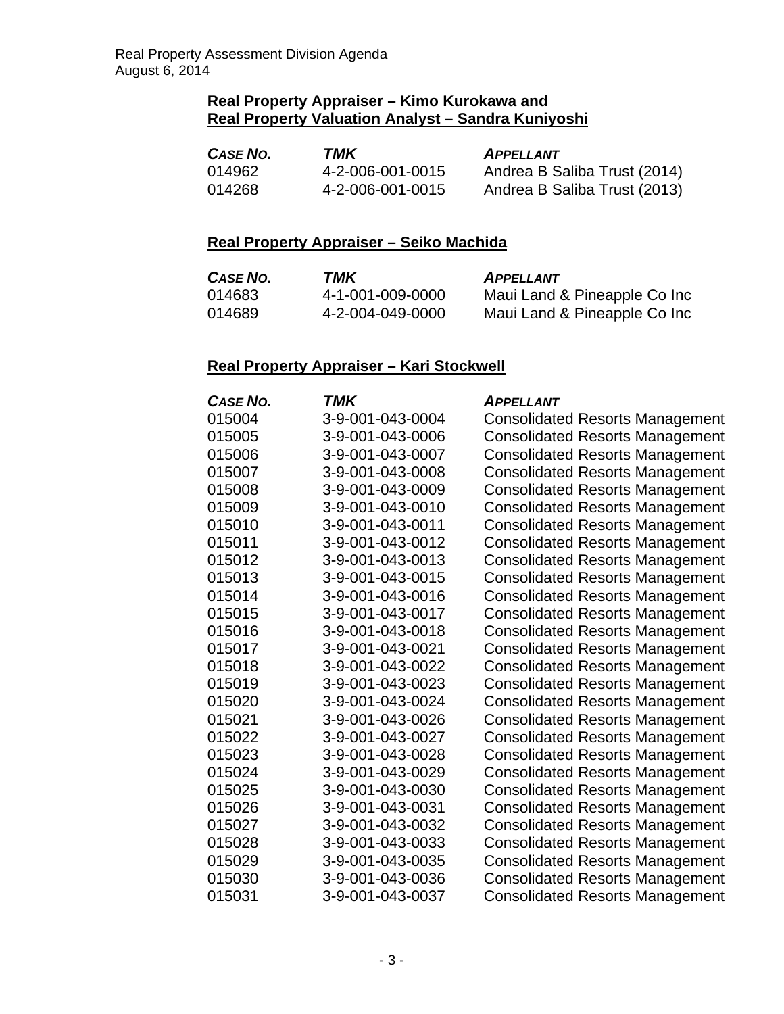#### **Real Property Appraiser – Kimo Kurokawa and Real Property Valuation Analyst – Sandra Kuniyoshi**

| <b>CASE NO.</b> | TMK              | <b>APPELLANT</b>             |
|-----------------|------------------|------------------------------|
| 014962          | 4-2-006-001-0015 | Andrea B Saliba Trust (2014) |
| 014268          | 4-2-006-001-0015 | Andrea B Saliba Trust (2013) |

# **Real Property Appraiser – Seiko Machida**

| CASE NO. | TMK              | <b>APPELLANT</b>             |
|----------|------------------|------------------------------|
| 014683   | 4-1-001-009-0000 | Maui Land & Pineapple Co Inc |
| 014689   | 4-2-004-049-0000 | Maui Land & Pineapple Co Inc |

## **Real Property Appraiser – Kari Stockwell**

| CASE NO. | TMK              | <b>APPELLANT</b>                       |
|----------|------------------|----------------------------------------|
| 015004   | 3-9-001-043-0004 | <b>Consolidated Resorts Management</b> |
| 015005   | 3-9-001-043-0006 | <b>Consolidated Resorts Management</b> |
| 015006   | 3-9-001-043-0007 | <b>Consolidated Resorts Management</b> |
| 015007   | 3-9-001-043-0008 | <b>Consolidated Resorts Management</b> |
| 015008   | 3-9-001-043-0009 | <b>Consolidated Resorts Management</b> |
| 015009   | 3-9-001-043-0010 | <b>Consolidated Resorts Management</b> |
| 015010   | 3-9-001-043-0011 | <b>Consolidated Resorts Management</b> |
| 015011   | 3-9-001-043-0012 | <b>Consolidated Resorts Management</b> |
| 015012   | 3-9-001-043-0013 | <b>Consolidated Resorts Management</b> |
| 015013   | 3-9-001-043-0015 | <b>Consolidated Resorts Management</b> |
| 015014   | 3-9-001-043-0016 | <b>Consolidated Resorts Management</b> |
| 015015   | 3-9-001-043-0017 | <b>Consolidated Resorts Management</b> |
| 015016   | 3-9-001-043-0018 | <b>Consolidated Resorts Management</b> |
| 015017   | 3-9-001-043-0021 | <b>Consolidated Resorts Management</b> |
| 015018   | 3-9-001-043-0022 | <b>Consolidated Resorts Management</b> |
| 015019   | 3-9-001-043-0023 | <b>Consolidated Resorts Management</b> |
| 015020   | 3-9-001-043-0024 | <b>Consolidated Resorts Management</b> |
| 015021   | 3-9-001-043-0026 | <b>Consolidated Resorts Management</b> |
| 015022   | 3-9-001-043-0027 | <b>Consolidated Resorts Management</b> |
| 015023   | 3-9-001-043-0028 | <b>Consolidated Resorts Management</b> |
| 015024   | 3-9-001-043-0029 | <b>Consolidated Resorts Management</b> |
| 015025   | 3-9-001-043-0030 | <b>Consolidated Resorts Management</b> |
| 015026   | 3-9-001-043-0031 | <b>Consolidated Resorts Management</b> |
| 015027   | 3-9-001-043-0032 | <b>Consolidated Resorts Management</b> |
| 015028   | 3-9-001-043-0033 | <b>Consolidated Resorts Management</b> |
| 015029   | 3-9-001-043-0035 | <b>Consolidated Resorts Management</b> |
| 015030   | 3-9-001-043-0036 | <b>Consolidated Resorts Management</b> |
| 015031   | 3-9-001-043-0037 | <b>Consolidated Resorts Management</b> |